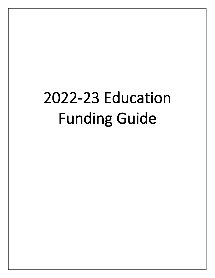# 2022-23 Education Funding Guide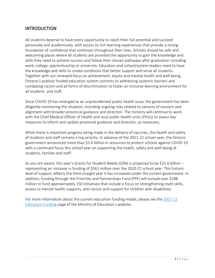# **INTRODUCTION**

All students deserve to have every opportunity to reach their full potential and succeed personally and academically, with access to rich learning experiences that provide a strong foundation of confidence that continues throughout their lives. Schools should be safe and welcoming places where all students are provided the opportunity to gain the knowledge and skills they need to achieve success and follow their chosen pathways after graduation including work, college, apprenticeship or university. Educators and school/system leaders need to have the knowledge and skills to create conditions that better support and serve all students. Together with our renewed focus on achievement, equity and mental health and well-being, Ontario's publicly funded education system commits to addressing systemic barriers and combating racism and all forms of discrimination to foster an inclusive learning environment for all students and staff.

Since COVID-19 has emerged as an unprecedented public health issue, the government has been diligently monitoring the situation, including ongoing risks related to variants of concern and alignment with broader provincial guidance and direction. The ministry will continue to work with the Chief Medical Officer of Health and local public health units (PHUs) to assess key measures to inform and update provincial guidance and direction, as necessary.

While there is important progress being made in the delivery of vaccines, the health and safety of students and staff remains a top priority. In advance of the 2021-22 school year, the Ontario government announced more than \$1.6 billion in resources to protect schools against COVID-19 with a continued focus this school year on supporting the health, safety and well-being of students, families and staff.

As you are aware, this year's Grants for Student Needs (GSN) is projected to be \$25.6 billion – representing an increase in funding of \$561 million over the 2020-21 school year. This historic level of support reflects the third straight year it has increased under the current government. In addition, funding through the Priorities and Partnerships Fund (PPF) will include over \$288 million to fund approximately 150 initiatives that include a focus on strengthening math skills, access to mental health supports, anti-racism and support for children with disabilities.

[For more information about the current education funding model, please see the 2021-22](http://www.edu.gov.on.ca/eng/policyfunding/funding.html) Education Funding page of the Ministry of Education's website.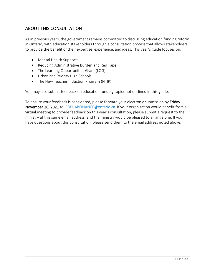# ABOUT THIS CONSULTATION

As in previous years, the government remains committed to discussing education funding reform in Ontario, with education stakeholders through a consultation process that allows stakeholders to provide the benefit of their expertise, experience, and ideas. This year's guide focuses on:

- Mental Health Supports
- Reducing Administrative Burden and Red Tape
- The Learning Opportunities Grant (LOG)
- Urban and Priority High Schools
- The New Teacher Induction Program (NTIP)

You may also submit feedback on education funding topics not outlined in this guide.

To ensure your feedback is considered, please forward your electronic submission by Friday November 26, 2021 to: [EDULABFINANCE@ontario.ca.](mailto:EDULABFINANCE@ontario.ca) If your organization would benefit from a virtual meeting to provide feedback on this year's consultation, please submit a request to the ministry at this same email address, and the ministry would be pleased to arrange one. If you have questions about this consultation, please send them to the email address noted above.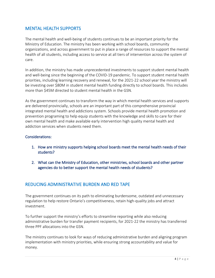# MENTAL HEALTH SUPPORTS

The mental health and well-being of students continues to be an important priority for the Ministry of Education. The ministry has been working with school boards, community organizations, and across government to put in place a range of resources to support the mental health of all students, including access to service at all tiers of intervention across the system of care.

In addition, the ministry has made unprecedented investments to support student mental health and well-being since the beginning of the COVID-19 pandemic. To support student mental health priorities, including learning recovery and renewal, for the 2021-22 school year the ministry will be investing over \$80M in student mental health funding directly to school boards. This includes more than \$45M directed to student mental health in the GSN.

As the government continues to transform the way in which mental health services and supports are delivered provincially, schools are an important part of this comprehensive provincial integrated mental health and addictions system. Schools provide mental health promotion and prevention programing to help equip students with the knowledge and skills to care for their own mental health and make available early intervention high quality mental health and addiction services when students need them.

#### Considerations:

- 1. How are ministry supports helping school boards meet the mental health needs of their students?
- 2. What can the Ministry of Education, other ministries, school boards and other partner agencies do to better support the mental health needs of students?

## REDUCING ADMINISTRATIVE BURDEN AND RED TAPE

The government continues on its path to eliminating burdensome, outdated and unnecessary regulation to help restore Ontario's competitiveness, retain high-quality jobs and attract investment.

To further support the ministry's efforts to streamline reporting while also reducing administrative burden for transfer payment recipients, for 2021-22 the ministry has transferred three PPF allocations into the GSN.

The ministry continues to look for ways of reducing administrative burden and aligning program implementation with ministry priorities, while ensuring strong accountability and value for money.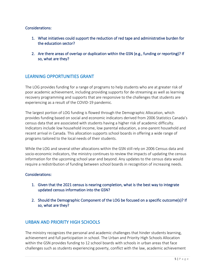#### Considerations:

- 1. What initiatives could support the reduction of red tape and administrative burden for the education sector?
- 2. Are there areas of overlap or duplication within the GSN (e.g., funding or reporting)? If so, what are they?

## LEARNING OPPORTUNITIES GRANT

The LOG provides funding for a range of programs to help students who are at greater risk of poor academic achievement, including providing supports for de-streaming as well as learning recovery programming and supports that are responsive to the challenges that students are experiencing as a result of the COVID-19 pandemic.

The largest portion of LOG funding is flowed through the Demographic Allocation, which provides funding based on social and economic indicators derived from 2006 Statistics Canada's census data that are associated with students having a higher risk of academic difficulty. Indicators include low household income, low parental education, a one-parent household and recent arrival in Canada. This allocation supports school boards in offering a wide range of programs tailored to the local needs of their students.

While the LOG and several other allocations within the GSN still rely on 2006 Census data and socio-economic indicators, the ministry continues to review the impacts of updating the census information for the upcoming school year and beyond. Any updates to the census data would require a redistribution of funding between school boards in recognition of increasing needs.

#### Considerations:

- 1. Given that the 2021 census is nearing completion, what is the best way to integrate updated census information into the GSN?
- 2. Should the Demographic Component of the LOG be focused on a specific outcome(s)? If so, what are they?

## URBAN AND PRIORITY HIGH SCHOOLS

The ministry recognizes the personal and academic challenges that hinder students learning, achievement and full participation in school. The Urban and Priority High Schools Allocation within the GSN provides funding to 12 school boards with schools in urban areas that face challenges such as students experiencing poverty, conflict with the law, academic achievement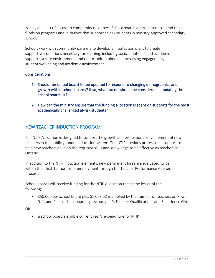issues, and lack of access to community resources. School boards are required to spend these funds on programs and initiatives that support at-risk students in ministry-approved secondary schools.

Schools work with community partners to develop annual action plans to create supportive conditions necessary for learning, including socio-emotional and academic supports, a safe environment, and opportunities aimed at increasing engagement, student well-being and academic achievement.

### Considerations:

- 1. Should the school board list be updated to respond to changing demographics and growth within school boards? If so, what factors should be considered in updating the school board list?
- 2. How can the ministry ensure that the funding allocation is spent on supports for the most academically challenged at-risk students?

# NEW TEACHER INDUCTION PROGRAM

The NTIP Allocation is designed to support the growth and professional development of new teachers in the publicly funded education system. The NTIP provides professional support to help new teachers develop the requisite skills and knowledge to be effective as teachers in Ontario.

In addition to the NTIP induction elements, new permanent hires are evaluated twice within their first 12 months of employment through the Teacher Performance Appraisal process.

School boards will receive funding for the NTIP Allocation that is the lesser of the following:

• \$50,000 per school board plus \$1,058.52 multiplied by the number of teachers on Rows 0, 1, and 2 of a school board's previous year's Teacher Qualifications and Experience Grid

OR

• a school board's eligible current year's expenditure for NTIP